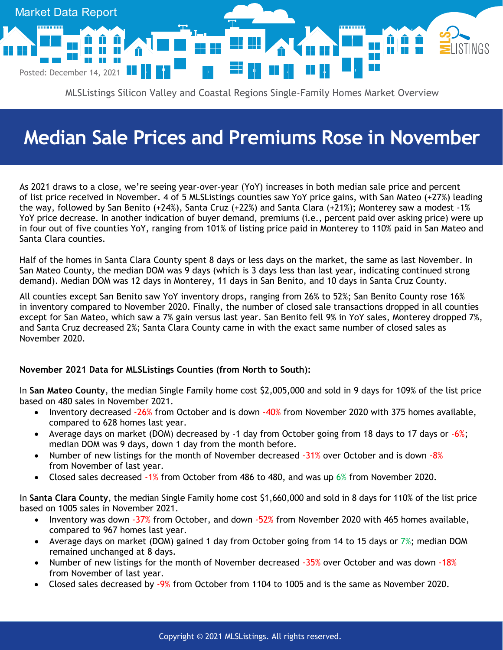

MLSListings Silicon Valley and Coastal Regions Single-Family Homes Market Overview

## **Median Sale Prices and Premiums Rose in November**

As 2021 draws to a close, we're seeing year-over-year (YoY) increases in both median sale price and percent of list price received in November. 4 of 5 MLSListings counties saw YoY price gains, with San Mateo (+27%) leading the way, followed by San Benito (+24%), Santa Cruz (+22%) and Santa Clara (+21%); Monterey saw a modest -1% YoY price decrease. In another indication of buyer demand, premiums (i.e., percent paid over asking price) were up in four out of five counties YoY, ranging from 101% of listing price paid in Monterey to 110% paid in San Mateo and Santa Clara counties.

Half of the homes in Santa Clara County spent 8 days or less days on the market, the same as last November. In San Mateo County, the median DOM was 9 days (which is 3 days less than last year, indicating continued strong demand). Median DOM was 12 days in Monterey, 11 days in San Benito, and 10 days in Santa Cruz County.

All counties except San Benito saw YoY inventory drops, ranging from 26% to 52%; San Benito County rose 16% in inventory compared to November 2020. Finally, the number of closed sale transactions dropped in all counties except for San Mateo, which saw a 7% gain versus last year. San Benito fell 9% in YoY sales, Monterey dropped 7%, and Santa Cruz decreased 2%; Santa Clara County came in with the exact same number of closed sales as November 2020.

## **November 2021 Data for MLSListings Counties (from North to South):**

In **San Mateo County**, the median Single Family home cost \$2,005,000 and sold in 9 days for 109% of the list price based on 480 sales in November 2021.

- Inventory decreased -26% from October and is down -40% from November 2020 with 375 homes available, compared to 628 homes last year.
- Average days on market (DOM) decreased by -1 day from October going from 18 days to 17 days or  $-6\%$ ; median DOM was 9 days, down 1 day from the month before.
- Number of new listings for the month of November decreased  $-31%$  over October and is down  $-8%$ from November of last year.
- Closed sales decreased -1% from October from 486 to 480, and was up 6% from November 2020.

In **Santa Clara County**, the median Single Family home cost \$1,660,000 and sold in 8 days for 110% of the list price based on 1005 sales in November 2021.

- Inventory was down -37% from October, and down -52% from November 2020 with 465 homes available, compared to 967 homes last year.
- Average days on market (DOM) gained 1 day from October going from 14 to 15 days or  $7\%$ ; median DOM remained unchanged at 8 days.
- Number of new listings for the month of November decreased -35% over October and was down -18% from November of last year.
- Closed sales decreased by -9% from October from 1104 to 1005 and is the same as November 2020.